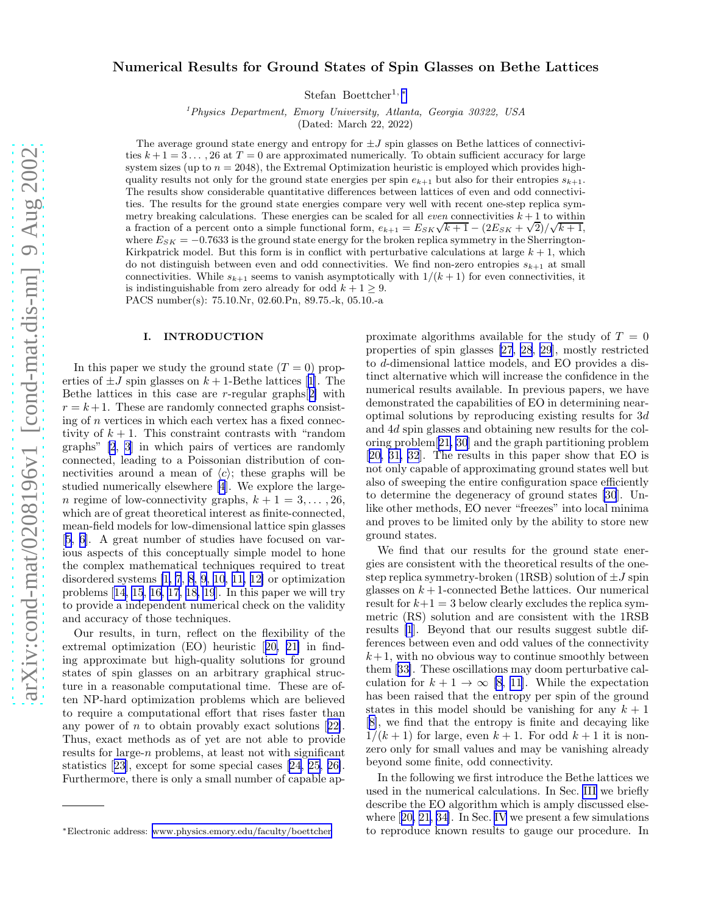# Numerical Results for Ground States of Spin Glasses on Bethe Lattices

Stefan Boettcher1, <sup>∗</sup>

 $1$ Physics Department, Emory University, Atlanta, Georgia 30322, USA (Dated: March 22, 2022)

The average ground state energy and entropy for  $\pm J$  spin glasses on Bethe lattices of connectivities  $k + 1 = 3 \dots$ , 26 at  $T = 0$  are approximated numerically. To obtain sufficient accuracy for large system sizes (up to  $n = 2048$ ), the Extremal Optimization heuristic is employed which provides highquality results not only for the ground state energies per spin  $e_{k+1}$  but also for their entropies  $s_{k+1}$ . The results show considerable quantitative differences between lattices of even and odd connectivities. The results for the ground state energies compare very well with recent one-step replica symmetry breaking calculations. These energies can be scaled for all *even* connectivities  $k + 1$  to within a fraction of a percent onto a simple functional form,  $e_{k+1} = E_{SK}\sqrt{k+1} - (2E_{SK} + \sqrt{2})/\sqrt{k+1}$ , where  $E_{SK} = -0.7633$  is the ground state energy for the broken replica symmetry in the Sherrington-Kirkpatrick model. But this form is in conflict with perturbative calculations at large  $k + 1$ , which do not distinguish between even and odd connectivities. We find non-zero entropies  $s_{k+1}$  at small connectivities. While  $s_{k+1}$  seems to vanish asymptotically with  $1/(k+1)$  for even connectivities, it is indistinguishable from zero already for odd  $k + 1 \geq 9$ . PACS number(s): 75.10.Nr, 02.60.Pn, 89.75.-k, 05.10.-a

## I. INTRODUCTION

In this paper we study the ground state  $(T = 0)$  propertiesof  $\pm J$  spin glasses on  $k + 1$  $k + 1$ -Bethe lattices [1]. The Bethe lattices in this case are  $r$ -regular graphs $[2]$  $[2]$  with  $r = k + 1$ . These are randomly connected graphs consisting of  $n$  vertices in which each vertex has a fixed connectivity of  $k + 1$ . This constraint contrasts with "random" graphs" [\[2](#page-9-0), [3](#page-10-0)] in which pairs of vertices are randomly connected, leading to a Poissonian distribution of connectivities around a mean of  $\langle c \rangle$ ; these graphs will be studied numerically elsewhere [\[4](#page-10-0)]. We explore the large*n* regime of low-connectivity graphs,  $k + 1 = 3, \ldots, 26$ , which are of great theoretical interest as finite-connected, mean-field models for low-dimensional lattice spin glasses [[5, 6\]](#page-10-0). A great number of studies have focused on various aspects of this conceptually simple model to hone the complex mathematical techniques required to treat disordered systems [\[1,](#page-9-0) [7](#page-10-0), [8](#page-10-0), [9](#page-10-0), [10, 11, 12\]](#page-10-0) or optimization problems $[14, 15, 16, 17, 18, 19]$  $[14, 15, 16, 17, 18, 19]$  $[14, 15, 16, 17, 18, 19]$  $[14, 15, 16, 17, 18, 19]$  $[14, 15, 16, 17, 18, 19]$  $[14, 15, 16, 17, 18, 19]$  $[14, 15, 16, 17, 18, 19]$ . In this paper we will try to provide a independent numerical check on the validity and accuracy of those techniques.

Our results, in turn, reflect on the flexibility of the extremal optimization (EO) heuristic[[20, 21\]](#page-10-0) in finding approximate but high-quality solutions for ground states of spin glasses on an arbitrary graphical structure in a reasonable computational time. These are often NP-hard optimization problems which are believed to require a computational effort that rises faster than anypower of  $n$  to obtain provably exact solutions [[22\]](#page-10-0). Thus, exact methods as of yet are not able to provide results for large- $n$  problems, at least not with significant statistics[[23\]](#page-10-0), except for some special cases[[24, 25](#page-10-0), [26\]](#page-10-0). Furthermore, there is only a small number of capable approximate algorithms available for the study of  $T = 0$ properties of spin glasses [\[27](#page-10-0), [28](#page-10-0), [29](#page-10-0)], mostly restricted to d-dimensional lattice models, and EO provides a distinct alternative which will increase the confidence in the numerical results available. In previous papers, we have demonstrated the capabilities of EO in determining nearoptimal solutions by reproducing existing results for 3d and 4d spin glasses and obtaining new results for the coloring problem[[21, 30](#page-10-0)] and the graph partitioning problem [[20, 31, 32](#page-10-0)]. The results in this paper show that EO is not only capable of approximating ground states well but also of sweeping the entire configuration space efficiently to determine the degeneracy of ground states [\[30](#page-10-0)]. Unlike other methods, EO never "freezes" into local minima and proves to be limited only by the ability to store new ground states.

We find that our results for the ground state energies are consistent with the theoretical results of the onestep replica symmetry-broken (1RSB) solution of  $\pm J$  spin glasses on  $k+1$ -connected Bethe lattices. Our numerical result for  $k+1=3$  below clearly excludes the replica symmetric (RS) solution and are consistent with the 1RSB results [\[1](#page-9-0)]. Beyond that our results suggest subtle differences between even and odd values of the connectivity  $k+1$ , with no obvious way to continue smoothly between them[[33\]](#page-10-0). These oscillations may doom perturbative calculation for  $k + 1 \rightarrow \infty$  [\[8](#page-10-0), [11](#page-10-0)]. While the expectation has been raised that the entropy per spin of the ground states in this model should be vanishing for any  $k + 1$ [[8\]](#page-10-0), we find that the entropy is finite and decaying like  $1/(k+1)$  for large, even  $k+1$ . For odd  $k+1$  it is nonzero only for small values and may be vanishing already beyond some finite, odd connectivity.

In the following we first introduce the Bethe lattices we used in the numerical calculations. In Sec. [III](#page-1-0) we briefly describe the EO algorithm which is amply discussed elsewhere[[20, 21, 34\]](#page-10-0). In Sec. [IV](#page-1-0) we present a few simulations to reproduce known results to gauge our procedure. In

<sup>∗</sup>Electronic address: [www.physics.emory.edu/faculty/boettcher](mailto:www.physics.emory.edu/faculty/boettcher)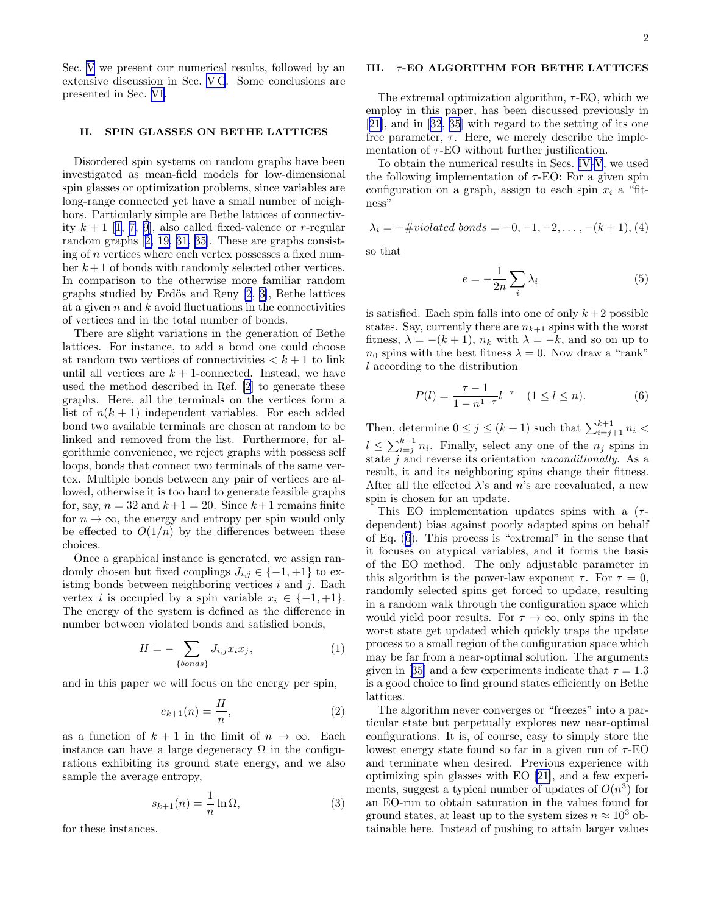<span id="page-1-0"></span>Sec. V we present our numerical results, followed by an extensive discussion in Sec. [V C](#page-5-0). Some conclusions are presented in Sec. [VI.](#page-8-0)

### II. SPIN GLASSES ON BETHE LATTICES

Disordered spin systems on random graphs have been investigated as mean-field models for low-dimensional spin glasses or optimization problems, since variables are long-range connected yet have a small number of neighbors. Particularly simple are Bethe lattices of connectivity $k + 1$  [[1,](#page-9-0) [7, 9\]](#page-10-0), also called fixed-valence or r-regular random graphs[[2,](#page-9-0) [19, 31, 35\]](#page-10-0). These are graphs consisting of n vertices where each vertex possesses a fixed number  $k+1$  of bonds with randomly selected other vertices. In comparison to the otherwise more familiar random graphs studied by Erdös and Reny  $[2, 3]$  $[2, 3]$ , Bethe lattices at a given  $n$  and  $k$  avoid fluctuations in the connectivities of vertices and in the total number of bonds.

There are slight variations in the generation of Bethe lattices. For instance, to add a bond one could choose at random two vertices of connectivities  $\lt k+1$  to link until all vertices are  $k + 1$ -connected. Instead, we have used the method described in Ref. [\[2](#page-9-0)] to generate these graphs. Here, all the terminals on the vertices form a list of  $n(k + 1)$  independent variables. For each added bond two available terminals are chosen at random to be linked and removed from the list. Furthermore, for algorithmic convenience, we reject graphs with possess self loops, bonds that connect two terminals of the same vertex. Multiple bonds between any pair of vertices are allowed, otherwise it is too hard to generate feasible graphs for, say,  $n = 32$  and  $k+1 = 20$ . Since  $k+1$  remains finite for  $n \to \infty$ , the energy and entropy per spin would only be effected to  $O(1/n)$  by the differences between these choices.

Once a graphical instance is generated, we assign randomly chosen but fixed couplings  $J_{i,j} \in \{-1, +1\}$  to existing bonds between neighboring vertices  $i$  and  $j$ . Each vertex *i* is occupied by a spin variable  $x_i \in \{-1, +1\}.$ The energy of the system is defined as the difference in number between violated bonds and satisfied bonds,

$$
H = -\sum_{\{bonds\}} J_{i,j} x_i x_j,\tag{1}
$$

and in this paper we will focus on the energy per spin,

$$
e_{k+1}(n) = \frac{H}{n},\tag{2}
$$

as a function of  $k + 1$  in the limit of  $n \to \infty$ . Each instance can have a large degeneracy  $\Omega$  in the configurations exhibiting its ground state energy, and we also sample the average entropy,

$$
s_{k+1}(n) = \frac{1}{n} \ln \Omega,\tag{3}
$$

for these instances.

### III.  $\tau$ -EO ALGORITHM FOR BETHE LATTICES

The extremal optimization algorithm,  $\tau$ -EO, which we employ in this paper, has been discussed previously in [[21\]](#page-10-0), and in[[32, 35\]](#page-10-0) with regard to the setting of its one free parameter,  $\tau$ . Here, we merely describe the implementation of  $\tau$ -EO without further justification.

To obtain the numerical results in Secs. IV-V, we used the following implementation of  $\tau$ -EO: For a given spin configuration on a graph, assign to each spin  $x_i$  a "fitness"

$$
\lambda_i = -\#violated\ bonds = -0, -1, -2, \dots, -(k+1), (4)
$$

so that

$$
e = -\frac{1}{2n} \sum_{i} \lambda_i \tag{5}
$$

is satisfied. Each spin falls into one of only  $k+2$  possible states. Say, currently there are  $n_{k+1}$  spins with the worst fitness,  $\lambda = -(k+1)$ ,  $n_k$  with  $\lambda = -k$ , and so on up to  $n_0$  spins with the best fitness  $\lambda = 0$ . Now draw a "rank" l according to the distribution

$$
P(l) = \frac{\tau - 1}{1 - n^{1 - \tau}} l^{-\tau} \quad (1 \le l \le n). \tag{6}
$$

Then, determine  $0 \leq j \leq (k+1)$  such that  $\sum_{i=j+1}^{k+1} n_i$  $l \leq \sum_{i=j}^{k+1} n_i$ . Finally, select any one of the  $n_j$  spins in state j and reverse its orientation unconditionally. As a result, it and its neighboring spins change their fitness. After all the effected  $\lambda$ 's and n's are reevaluated, a new spin is chosen for an update.

This EO implementation updates spins with a  $(\tau$ dependent) bias against poorly adapted spins on behalf of Eq. (6). This process is "extremal" in the sense that it focuses on atypical variables, and it forms the basis of the EO method. The only adjustable parameter in this algorithm is the power-law exponent  $\tau$ . For  $\tau = 0$ , randomly selected spins get forced to update, resulting in a random walk through the configuration space which would yield poor results. For  $\tau \to \infty$ , only spins in the worst state get updated which quickly traps the update process to a small region of the configuration space which may be far from a near-optimal solution. The arguments givenin [[35\]](#page-10-0) and a few experiments indicate that  $\tau = 1.3$ is a good choice to find ground states efficiently on Bethe lattices.

The algorithm never converges or "freezes" into a particular state but perpetually explores new near-optimal configurations. It is, of course, easy to simply store the lowest energy state found so far in a given run of  $\tau$ -EO and terminate when desired. Previous experience with optimizing spin glasses with EO [\[21\]](#page-10-0), and a few experiments, suggest a typical number of updates of  $O(n^3)$  for an EO-run to obtain saturation in the values found for ground states, at least up to the system sizes  $n \approx 10^3$  obtainable here. Instead of pushing to attain larger values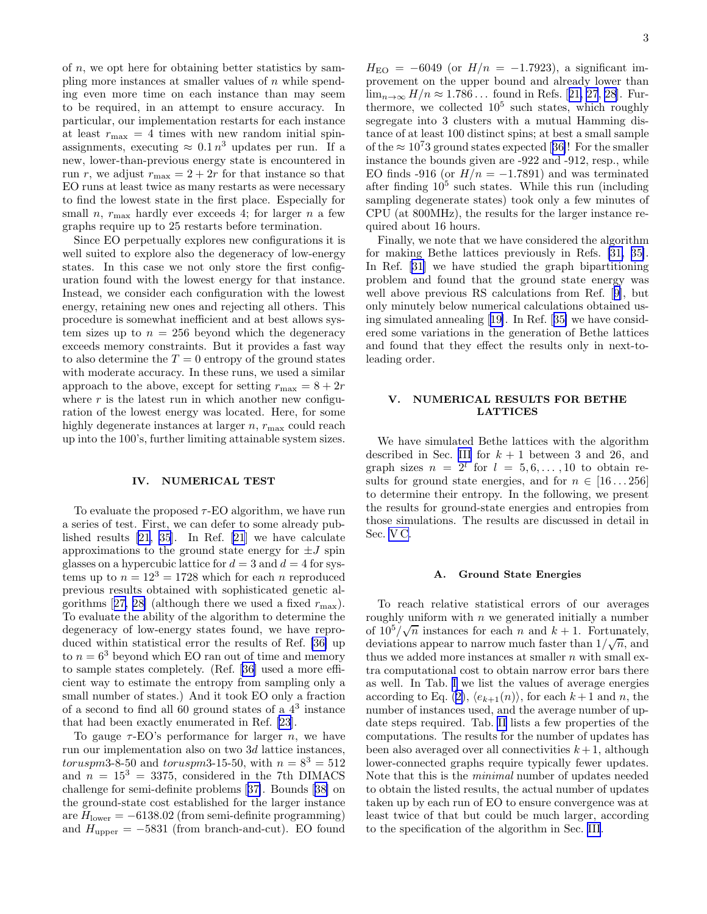of  $n$ , we opt here for obtaining better statistics by sampling more instances at smaller values of  $n$  while spending even more time on each instance than may seem to be required, in an attempt to ensure accuracy. In particular, our implementation restarts for each instance at least  $r_{\text{max}} = 4$  times with new random initial spinassignments, executing  $\approx 0.1 n^3$  updates per run. If a new, lower-than-previous energy state is encountered in run r, we adjust  $r_{\text{max}} = 2 + 2r$  for that instance so that EO runs at least twice as many restarts as were necessary to find the lowest state in the first place. Especially for small n,  $r_{\text{max}}$  hardly ever exceeds 4; for larger n a few graphs require up to 25 restarts before termination.

Since EO perpetually explores new configurations it is well suited to explore also the degeneracy of low-energy states. In this case we not only store the first configuration found with the lowest energy for that instance. Instead, we consider each configuration with the lowest energy, retaining new ones and rejecting all others. This procedure is somewhat inefficient and at best allows system sizes up to  $n = 256$  beyond which the degeneracy exceeds memory constraints. But it provides a fast way to also determine the  $T = 0$  entropy of the ground states with moderate accuracy. In these runs, we used a similar approach to the above, except for setting  $r_{\text{max}} = 8 + 2r$ where  $r$  is the latest run in which another new configuration of the lowest energy was located. Here, for some highly degenerate instances at larger  $n$ ,  $r_{\text{max}}$  could reach up into the 100's, further limiting attainable system sizes.

#### IV. NUMERICAL TEST

To evaluate the proposed  $\tau$ -EO algorithm, we have run a series of test. First, we can defer to some already published results[[21, 35](#page-10-0)]. In Ref. [\[21](#page-10-0)] we have calculate approximations to the ground state energy for  $\pm J$  spin glasses on a hypercubic lattice for  $d = 3$  and  $d = 4$  for systems up to  $n = 12<sup>3</sup> = 1728$  which for each n reproduced previous results obtained with sophisticated genetic al-gorithms[[27, 28\]](#page-10-0) (although there we used a fixed  $r_{\text{max}}$ ). To evaluate the ability of the algorithm to determine the degeneracy of low-energy states found, we have reproduced within statistical error the results of Ref. [\[36\]](#page-10-0) up to  $n = 6<sup>3</sup>$  beyond which EO ran out of time and memory to sample states completely. (Ref. [\[36](#page-10-0)] used a more efficient way to estimate the entropy from sampling only a small number of states.) And it took EO only a fraction of a second to find all  $60$  ground states of a  $4<sup>3</sup>$  instance that had been exactly enumerated in Ref. [\[23\]](#page-10-0).

To gauge  $\tau$ -EO's performance for larger *n*, we have run our implementation also on two 3d lattice instances, toruspm3-8-50 and toruspm3-15-50, with  $n = 8^3 = 512$ and  $n = 15^3 = 3375$ , considered in the 7th DIMACS challenge for semi-definite problems[[37\]](#page-10-0). Bounds[[38\]](#page-10-0) on the ground-state cost established for the larger instance are  $H_{\text{lower}} = -6138.02$  (from semi-definite programming) and  $H_{\text{upper}} = -5831$  (from branch-and-cut). EO found

 $H_{\text{EO}} = -6049$  (or  $H/n = -1.7923$ ), a significant improvement on the upper bound and already lower than  $\lim_{n\to\infty} H/n \approx 1.786...$  $\lim_{n\to\infty} H/n \approx 1.786...$  $\lim_{n\to\infty} H/n \approx 1.786...$  found in Refs. [[21, 27](#page-10-0), [28\]](#page-10-0). Furthermore, we collected  $10^5$  such states, which roughly segregate into 3 clusters with a mutual Hamming distance of at least 100 distinct spins; at best a small sample ofthe  $\approx 10^7$ 3 ground states expected [[36\]](#page-10-0)! For the smaller instance the bounds given are -922 and -912, resp., while EO finds -916 (or  $H/n = -1.7891$ ) and was terminated after finding  $10<sup>5</sup>$  such states. While this run (including sampling degenerate states) took only a few minutes of CPU (at 800MHz), the results for the larger instance required about 16 hours.

Finally, we note that we have considered the algorithm for making Bethe lattices previously in Refs. [\[31, 35\]](#page-10-0). In Ref.[[31\]](#page-10-0) we have studied the graph bipartitioning problem and found that the ground state energy was well above previous RS calculations from Ref.[[9\]](#page-10-0), but only minutely below numerical calculations obtained using simulated annealing[[19\]](#page-10-0). In Ref.[[35\]](#page-10-0) we have considered some variations in the generation of Bethe lattices and found that they effect the results only in next-toleading order.

### V. NUMERICAL RESULTS FOR BETHE LATTICES

We have simulated Bethe lattices with the algorithm described in Sec. [III](#page-1-0) for  $k + 1$  between 3 and 26, and graph sizes  $n = 2^l$  for  $l = 5, 6, \ldots, 10$  to obtain results for ground state energies, and for  $n \in [16...256]$ to determine their entropy. In the following, we present the results for ground-state energies and entropies from those simulations. The results are discussed in detail in Sec. [V C.](#page-5-0)

#### A. Ground State Energies

To reach relative statistical errors of our averages roughly uniform with  $n$  we generated initially a number of  $10^5/\sqrt{n}$  instances for each n and  $k+1$ . Fortunately, deviations appear to narrow much faster than  $1/\sqrt{n}$ , and thus we added more instances at smaller  $n$  with small extra computational cost to obtain narrow error bars there as well. In Tab. [I](#page-3-0) we list the values of average energies accordingto Eq. ([2\)](#page-1-0),  $\langle e_{k+1}(n) \rangle$ , for each  $k+1$  and n, the number of instances used, and the average number of update steps required. Tab. [II](#page-3-0) lists a few properties of the computations. The results for the number of updates has been also averaged over all connectivities  $k+1$ , although lower-connected graphs require typically fewer updates. Note that this is the minimal number of updates needed to obtain the listed results, the actual number of updates taken up by each run of EO to ensure convergence was at least twice of that but could be much larger, according to the specification of the algorithm in Sec. [III](#page-1-0).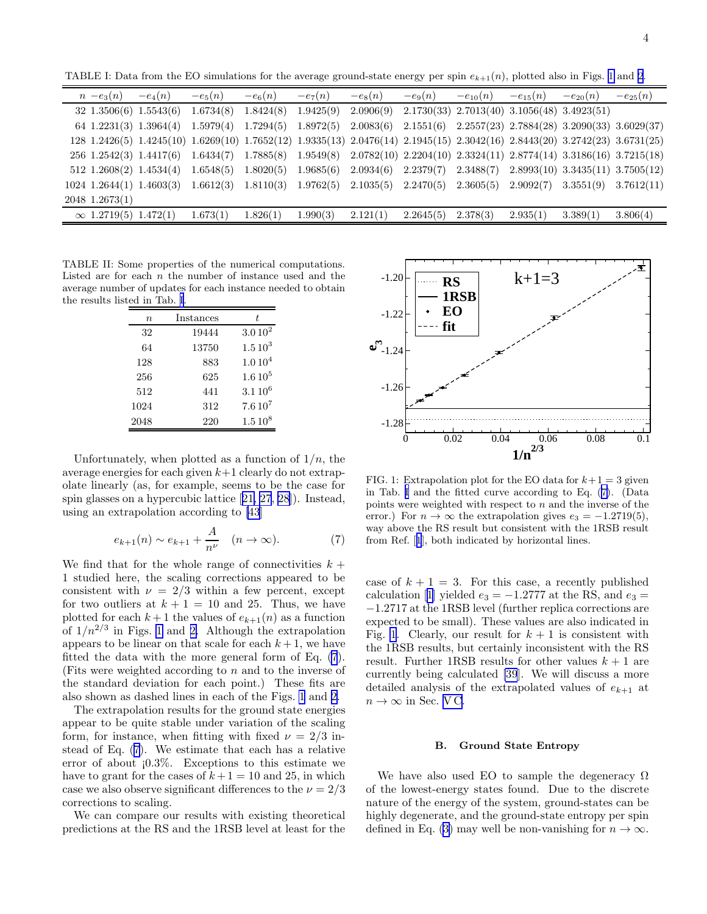<span id="page-3-0"></span>TABLE I: Data from the EO simulations for the average ground-state energy per spin  $e_{k+1}(n)$ , plotted also in Figs. 1 and [2](#page-4-0).

| $n -e_3(n)$                   | $-e_4(n)$                 | $-e_5(n)$               | $-e_6(n)$ | $-e_7(n)$ | $-e_8(n)$                                                                                                                   | $-e_9(n)$ | $-e_{10}(n)$                                        | $-e_{15}(n)$ | $-e_{20}(n)$                                       | $-e_{25}(n)$ |
|-------------------------------|---------------------------|-------------------------|-----------|-----------|-----------------------------------------------------------------------------------------------------------------------------|-----------|-----------------------------------------------------|--------------|----------------------------------------------------|--------------|
| $32\;1.3506(6)\;1.5543(6)$    |                           | 1.6734(8)               | 1.8424(8) | 1.9425(9) | 2.0906(9)                                                                                                                   |           | $2.1730(33)$ $2.7013(40)$ $3.1056(48)$ $3.4923(51)$ |              |                                                    |              |
|                               | 64 1.2231(3) 1.3964(4)    | $1.5979(4)$ $1.7294(5)$ |           |           | $1.8972(5)$ $2.0083(6)$ $2.1551(6)$ $2.2557(23)$ $2.7884(28)$ $3.2090(33)$ $3.6029(37)$                                     |           |                                                     |              |                                                    |              |
|                               |                           |                         |           |           | 128 1.2426(5) 1.4245(10) 1.6269(10) 1.7652(12) 1.9335(13) 2.0476(14) 2.1945(15) 2.3042(16) 2.8443(20) 3.2742(23) 3.6731(25) |           |                                                     |              |                                                    |              |
|                               | $256$ 1.2542(3) 1.4417(6) | $1.6434(7)$ $1.7885(8)$ |           |           | $1.9549(8)$ $2.0782(10)$ $2.2204(10)$ $2.3324(11)$ $2.8774(14)$ $3.3186(16)$ $3.7215(18)$                                   |           |                                                     |              |                                                    |              |
| $512 \t1.2608(2) \t1.4534(4)$ |                           | 1.6548(5)               | 1.8020(5) | 1.9685(6) | $2.0934(6)$ $2.2379(7)$                                                                                                     |           |                                                     |              | $2.3488(7)$ $2.8993(10)$ $3.3435(11)$ $3.7505(12)$ |              |
| $1024$ 1.2644(1) 1.4603(3)    |                           | $1.6612(3)$ $1.8110(3)$ |           |           | $1.9762(5)$ $2.1035(5)$ $2.2470(5)$                                                                                         |           |                                                     |              | $2.3605(5)$ $2.9092(7)$ $3.3551(9)$ $3.7612(11)$   |              |
| $2048$ 1.2673(1)              |                           |                         |           |           |                                                                                                                             |           |                                                     |              |                                                    |              |
| $\infty$ 1.2719(5) 1.472(1)   |                           | 1.673(1)                | 1.826(1)  | 1.990(3)  | 2.121(1)                                                                                                                    | 2.2645(5) | 2.378(3)                                            | 2.935(1)     | 3.389(1)                                           | 3.806(4)     |
|                               |                           |                         |           |           |                                                                                                                             |           |                                                     |              |                                                    |              |

TABLE II: Some properties of the numerical computations. Listed are for each  $n$  the number of instance used and the average number of updates for each instance needed to obtain the results listed in Tab. I.

| $\it{n}$ | Instances | t.                 |
|----------|-----------|--------------------|
| 32       | 19444     | $3.010^{2}$        |
| 64       | 13750     | $1.5 10^{3}$       |
| 128      | 883       | 1.010 <sup>4</sup> |
| 256      | 625       | $1.6 10^{5}$       |
| 512      | 441       | $3.110^{6}$        |
| 1024     | 312       | $7.610^{7}$        |
| 2048     | 220       | $1.5 10^{8}$       |

Unfortunately, when plotted as a function of  $1/n$ , the average energies for each given  $k+1$  clearly do not extrapolate linearly (as, for example, seems to be the case for spin glasses on a hypercubic lattice[[21, 27](#page-10-0), [28\]](#page-10-0)). Instead, using an extrapolation according to [\[43](#page-10-0)]

$$
e_{k+1}(n) \sim e_{k+1} + \frac{A}{n^{\nu}} \quad (n \to \infty). \tag{7}
$$

We find that for the whole range of connectivities  $k +$ 1 studied here, the scaling corrections appeared to be consistent with  $\nu = 2/3$  within a few percent, except for two outliers at  $k + 1 = 10$  and 25. Thus, we have plotted for each  $k+1$  the values of  $e_{k+1}(n)$  as a function of  $1/n^{2/3}$  in Figs. 1 and [2.](#page-4-0) Although the extrapolation appears to be linear on that scale for each  $k + 1$ , we have fitted the data with the more general form of Eq. (7). (Fits were weighted according to n and to the inverse of the standard deviation for each point.) These fits are also shown as dashed lines in each of the Figs. 1 and [2.](#page-4-0)

The extrapolation results for the ground state energies appear to be quite stable under variation of the scaling form, for instance, when fitting with fixed  $\nu = 2/3$  instead of Eq. (7). We estimate that each has a relative error of about  $10.3\%$ . Exceptions to this estimate we have to grant for the cases of  $k+1=10$  and 25, in which case we also observe significant differences to the  $\nu = 2/3$ corrections to scaling.

We can compare our results with existing theoretical predictions at the RS and the 1RSB level at least for the



FIG. 1: Extrapolation plot for the EO data for  $k+1=3$  given in Tab. I and the fitted curve according to Eq. (7). (Data points were weighted with respect to  $n$  and the inverse of the error.) For  $n \to \infty$  the extrapolation gives  $e_3 = -1.2719(5)$ , way above the RS result but consistent with the 1RSB result from Ref.[[1](#page-9-0)], both indicated by horizontal lines.

case of  $k + 1 = 3$ . For this case, a recently published calculation[[1\]](#page-9-0) yielded  $e_3 = -1.2777$  at the RS, and  $e_3 =$ −1.2717 at the 1RSB level (further replica corrections are expected to be small). These values are also indicated in Fig. 1. Clearly, our result for  $k + 1$  is consistent with the 1RSB results, but certainly inconsistent with the RS result. Further 1RSB results for other values  $k + 1$  are currently being calculated [\[39](#page-10-0)]. We will discuss a more detailed analysis of the extrapolated values of  $e_{k+1}$  at  $n \to \infty$  in Sec. [V C](#page-5-0).

### B. Ground State Entropy

We have also used EO to sample the degeneracy  $\Omega$ of the lowest-energy states found. Due to the discrete nature of the energy of the system, ground-states can be highly degenerate, and the ground-state entropy per spin definedin Eq. ([3\)](#page-1-0) may well be non-vanishing for  $n \to \infty$ .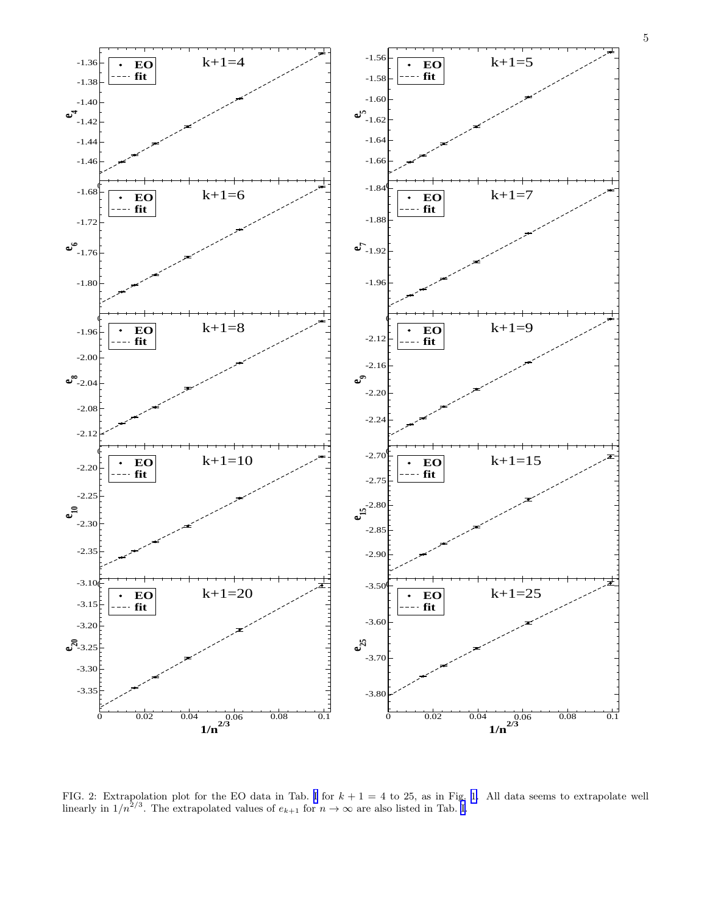<span id="page-4-0"></span>

FIG. 2: Extrapolation plot for the EO data in Tab. [I](#page-3-0) for  $k + 1 = 4$  to 25, as in Fig. [1.](#page-3-0) All data seems to extrapolate well linearly in  $1/n^{2/3}$ . The extrapolated values of  $e_{k+1}$  for  $n \to \infty$  are also listed in Tab. [I.](#page-3-0)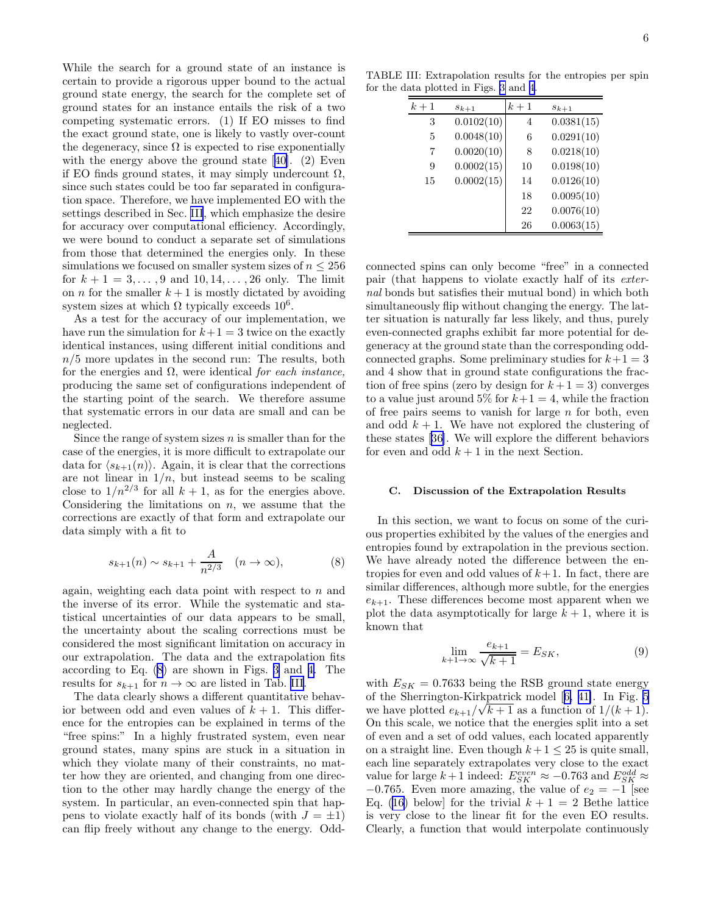<span id="page-5-0"></span>While the search for a ground state of an instance is certain to provide a rigorous upper bound to the actual ground state energy, the search for the complete set of ground states for an instance entails the risk of a two competing systematic errors. (1) If EO misses to find the exact ground state, one is likely to vastly over-count the degeneracy, since  $\Omega$  is expected to rise exponentially with the energy above the ground state[[40\]](#page-10-0). (2) Even if EO finds ground states, it may simply undercount Ω, since such states could be too far separated in configuration space. Therefore, we have implemented EO with the settings described in Sec. [III](#page-1-0), which emphasize the desire for accuracy over computational efficiency. Accordingly, we were bound to conduct a separate set of simulations from those that determined the energies only. In these simulations we focused on smaller system sizes of  $n \leq 256$ for  $k + 1 = 3, ..., 9$  and  $10, 14, ..., 26$  only. The limit on *n* for the smaller  $k + 1$  is mostly dictated by avoiding system sizes at which  $\Omega$  typically exceeds  $10^6$ .

As a test for the accuracy of our implementation, we have run the simulation for  $k+1=3$  twice on the exactly identical instances, using different initial conditions and  $n/5$  more updates in the second run: The results, both for the energies and  $\Omega$ , were identical for each instance, producing the same set of configurations independent of the starting point of the search. We therefore assume that systematic errors in our data are small and can be neglected.

Since the range of system sizes  $n$  is smaller than for the case of the energies, it is more difficult to extrapolate our data for  $\langle s_{k+1}(n) \rangle$ . Again, it is clear that the corrections are not linear in  $1/n$ , but instead seems to be scaling close to  $1/n^{2/3}$  for all  $k + 1$ , as for the energies above. Considering the limitations on  $n$ , we assume that the corrections are exactly of that form and extrapolate our data simply with a fit to

$$
s_{k+1}(n) \sim s_{k+1} + \frac{A}{n^{2/3}} \quad (n \to \infty),
$$
 (8)

again, weighting each data point with respect to  $n$  and the inverse of its error. While the systematic and statistical uncertainties of our data appears to be small, the uncertainty about the scaling corrections must be considered the most significant limitation on accuracy in our extrapolation. The data and the extrapolation fits according to Eq. (8) are shown in Figs. [3](#page-6-0) and [4.](#page-7-0) The results for  $s_{k+1}$  for  $n \to \infty$  are listed in Tab. III.

The data clearly shows a different quantitative behavior between odd and even values of  $k + 1$ . This difference for the entropies can be explained in terms of the "free spins:" In a highly frustrated system, even near ground states, many spins are stuck in a situation in which they violate many of their constraints, no matter how they are oriented, and changing from one direction to the other may hardly change the energy of the system. In particular, an even-connected spin that happens to violate exactly half of its bonds (with  $J = \pm 1$ ) can flip freely without any change to the energy. Odd-

TABLE III: Extrapolation results for the entropies per spin for the data plotted in Figs. [3](#page-6-0) and [4](#page-7-0).

| $k+1$ | $s_{k+1}$  | $k+1$ | $s_{k+1}$  |
|-------|------------|-------|------------|
| 3     | 0.0102(10) | 4     | 0.0381(15) |
| 5     | 0.0048(10) | 6     | 0.0291(10) |
| 7     | 0.0020(10) | 8     | 0.0218(10) |
| 9     | 0.0002(15) | 10    | 0.0198(10) |
| 15    | 0.0002(15) | 14    | 0.0126(10) |
|       |            | 18    | 0.0095(10) |
|       |            | 22    | 0.0076(10) |
|       |            | 26    | 0.0063(15) |

connected spins can only become "free" in a connected pair (that happens to violate exactly half of its external bonds but satisfies their mutual bond) in which both simultaneously flip without changing the energy. The latter situation is naturally far less likely, and thus, purely even-connected graphs exhibit far more potential for degeneracy at the ground state than the corresponding oddconnected graphs. Some preliminary studies for  $k+1=3$ and 4 show that in ground state configurations the fraction of free spins (zero by design for  $k+1=3$ ) converges to a value just around 5% for  $k+1=4$ , while the fraction of free pairs seems to vanish for large  $n$  for both, even and odd  $k + 1$ . We have not explored the clustering of these states[[36\]](#page-10-0). We will explore the different behaviors for even and odd  $k + 1$  in the next Section.

#### C. Discussion of the Extrapolation Results

In this section, we want to focus on some of the curious properties exhibited by the values of the energies and entropies found by extrapolation in the previous section. We have already noted the difference between the entropies for even and odd values of  $k+1$ . In fact, there are similar differences, although more subtle, for the energies  $e_{k+1}$ . These differences become most apparent when we plot the data asymptotically for large  $k + 1$ , where it is known that

$$
\lim_{k+1 \to \infty} \frac{e_{k+1}}{\sqrt{k+1}} = E_{SK},\tag{9}
$$

with  $E_{SK} = 0.7633$  being the RSB ground state energy of the Sherrington-Kirkpatrick model[[6, 41\]](#page-10-0). In Fig. [5](#page-7-0) we have plotted  $e_{k+1}/\sqrt{k+1}$  as a function of  $1/(k+1)$ . On this scale, we notice that the energies split into a set of even and a set of odd values, each located apparently on a straight line. Even though  $k+1 \leq 25$  is quite small, each line separately extrapolates very close to the exact value for large  $k+1$  indeed:  $E_{SK}^{even} \approx -0.763$  and  $E_{SK}^{odd} \approx$  $-0.765$ . Even more amazing, the value of  $e_2 = -1$  [see Eq.([16](#page-9-0)) below] for the trivial  $k + 1 = 2$  Bethe lattice is very close to the linear fit for the even EO results. Clearly, a function that would interpolate continuously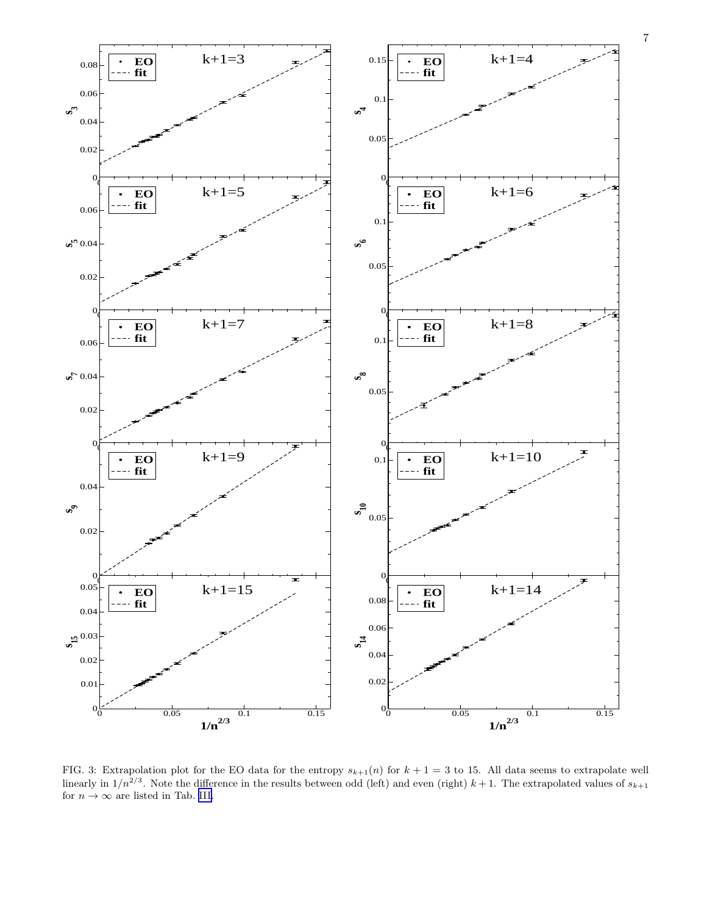<span id="page-6-0"></span>

FIG. 3: Extrapolation plot for the EO data for the entropy  $s_{k+1}(n)$  for  $k+1=3$  to 15. All data seems to extrapolate well linearly in  $1/n^{2/3}$ . Note the difference in the results between odd (left) and even (right)  $k+1$ . The extrapolated values of  $s_{k+1}$ for  $n \to \infty$  are listed in Tab. [III.](#page-5-0)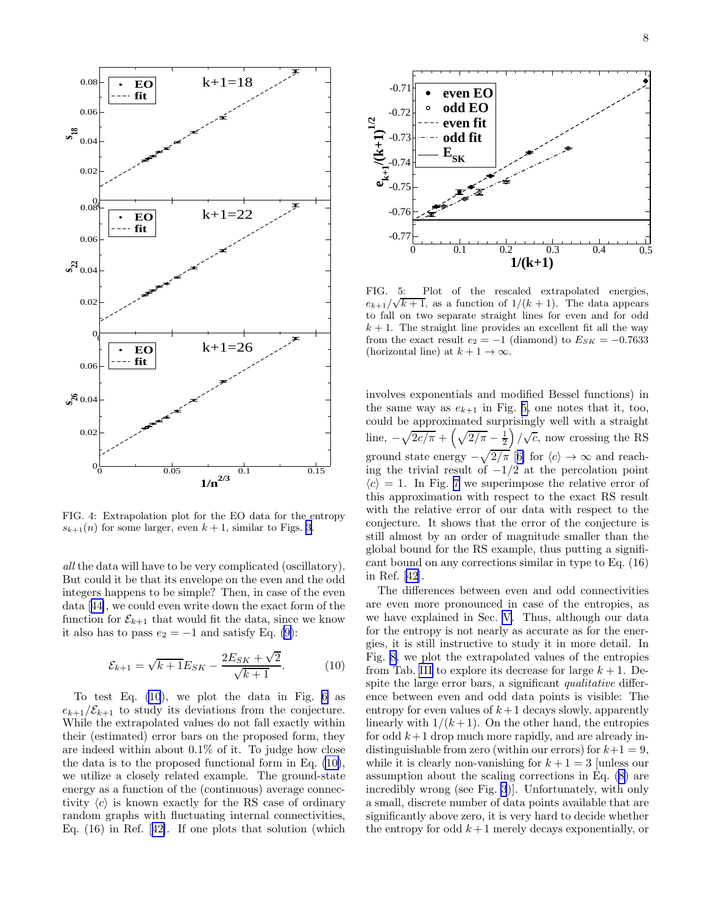<span id="page-7-0"></span>

FIG. 4: Extrapolation plot for the EO data for the entropy  $s_{k+1}(n)$  for some larger, even  $k+1$ , similar to Figs. [3.](#page-6-0)

all the data will have to be very complicated (oscillatory). But could it be that its envelope on the even and the odd integers happens to be simple? Then, in case of the even data[[44\]](#page-10-0), we could even write down the exact form of the function for  $\mathcal{E}_{k+1}$  that would fit the data, since we know it also has to pass  $e_2 = -1$  and satisfy Eq. [\(9\)](#page-5-0):

$$
\mathcal{E}_{k+1} = \sqrt{k+1} E_{SK} - \frac{2E_{SK} + \sqrt{2}}{\sqrt{k+1}}.
$$
 (10)

To test Eq. (10), we plot the data in Fig. [6](#page-8-0) as  $e_{k+1}/\mathcal{E}_{k+1}$  to study its deviations from the conjecture. While the extrapolated values do not fall exactly within their (estimated) error bars on the proposed form, they are indeed within about 0.1% of it. To judge how close the data is to the proposed functional form in Eq. (10), we utilize a closely related example. The ground-state energy as a function of the (continuous) average connectivity  $\langle c \rangle$  is known exactly for the RS case of ordinary random graphs with fluctuating internal connectivities, Eq. (16) in Ref.[[42\]](#page-10-0). If one plots that solution (which



FIG. 5: Plot of the rescaled extrapolated energies,  $e_{k+1}/\sqrt{k+1}$ , as a function of  $1/(k+1)$ . The data appears to fall on two separate straight lines for even and for odd  $k + 1$ . The straight line provides an excellent fit all the way from the exact result  $e_2 = -1$  (diamond) to  $E_{SK} = -0.7633$ (horizontal line) at  $k + 1 \rightarrow \infty$ .

involves exponentials and modified Bessel functions) in the same way as  $e_{k+1}$  in Fig. 5, one notes that it, too, could be approximated surprisingly well with a straight line,  $-\sqrt{2c/\pi} + \left(\sqrt{2/\pi} - \frac{1}{2}\right)/\sqrt{c}$ , now crossing the RS ground state energy  $-\sqrt{2/\pi}$  [[6\]](#page-10-0) for  $\langle c \rangle \to \infty$  and reaching the trivial result of  $-1/2$  at the percolation point  $\langle c \rangle = 1$ . In Fig. [7](#page-8-0) we superimpose the relative error of this approximation with respect to the exact RS result with the relative error of our data with respect to the conjecture. It shows that the error of the conjecture is still almost by an order of magnitude smaller than the global bound for the RS example, thus putting a significant bound on any corrections similar in type to Eq. (16) in Ref. [\[42](#page-10-0)].

The differences between even and odd connectivities are even more pronounced in case of the entropies, as we have explained in Sec. [V.](#page-1-0) Thus, although our data for the entropy is not nearly as accurate as for the energies, it is still instructive to study it in more detail. In Fig. [8](#page-8-0), we plot the extrapolated values of the entropies from Tab. [III](#page-5-0) to explore its decrease for large  $k + 1$ . Despite the large error bars, a significant *qualitative* difference between even and odd data points is visible: The entropy for even values of  $k+1$  decays slowly, apparently linearly with  $1/(k+1)$ . On the other hand, the entropies for odd  $k+1$  drop much more rapidly, and are already indistinguishable from zero (within our errors) for  $k+1=9$ , while it is clearly non-vanishing for  $k + 1 = 3$  [unless our assumption about the scaling corrections in Eq. [\(8](#page-5-0)) are incredibly wrong (see Fig. [3](#page-6-0))]. Unfortunately, with only a small, discrete number of data points available that are significantly above zero, it is very hard to decide whether the entropy for odd  $k+1$  merely decays exponentially, or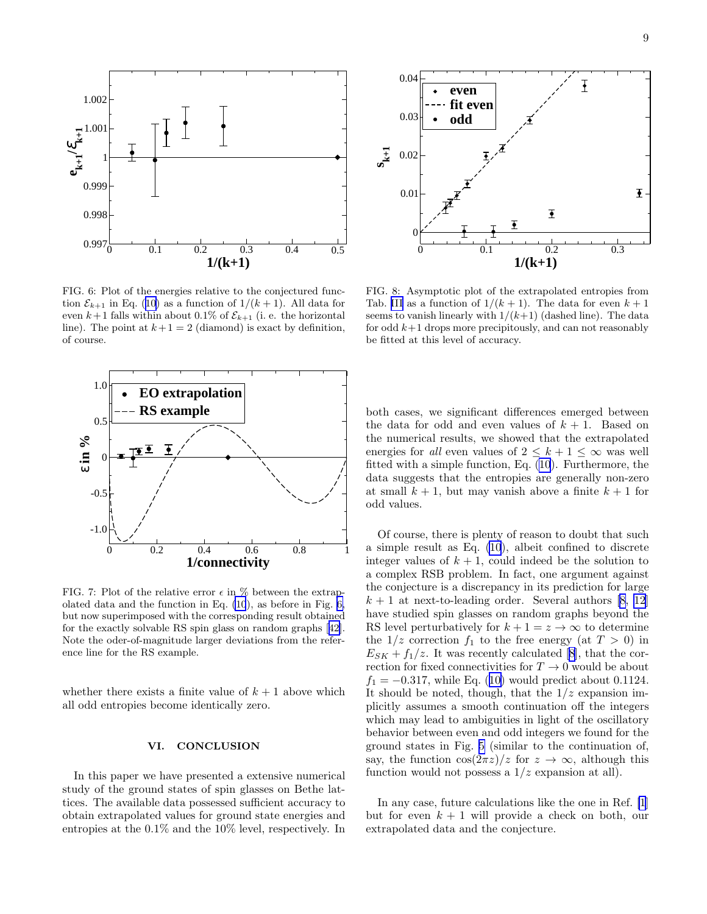<span id="page-8-0"></span>

FIG. 6: Plot of the energies relative to the conjectured func-tion $\mathcal{E}_{k+1}$  in Eq. ([10](#page-7-0)) as a function of  $1/(k+1)$ . All data for even  $k+1$  falls within about 0.1% of  $\mathcal{E}_{k+1}$  (i. e. the horizontal line). The point at  $k+1=2$  (diamond) is exact by definition, of course.



FIG. 7: Plot of the relative error  $\epsilon$  in % between the extrapolated data and the function in Eq.  $(10)$ , as before in Fig.  $6$ , but now superimposed with the corresponding result obtained for the exactly solvable RS spin glass on random graphs[[42](#page-10-0)]. Note the oder-of-magnitude larger deviations from the reference line for the RS example.

whether there exists a finite value of  $k + 1$  above which all odd entropies become identically zero.

#### VI. CONCLUSION

In this paper we have presented a extensive numerical study of the ground states of spin glasses on Bethe lattices. The available data possessed sufficient accuracy to obtain extrapolated values for ground state energies and entropies at the 0.1% and the 10% level, respectively. In



FIG. 8: Asymptotic plot of the extrapolated entropies from Tab. [III](#page-5-0) as a function of  $1/(k+1)$ . The data for even  $k+1$ seems to vanish linearly with  $1/(k+1)$  (dashed line). The data for odd  $k+1$  drops more precipitously, and can not reasonably be fitted at this level of accuracy.

both cases, we significant differences emerged between the data for odd and even values of  $k + 1$ . Based on the numerical results, we showed that the extrapolated energies for all even values of  $2 \leq k+1 \leq \infty$  was well fitted with a simple function, Eq. [\(10](#page-7-0)). Furthermore, the data suggests that the entropies are generally non-zero at small  $k + 1$ , but may vanish above a finite  $k + 1$  for odd values.

Of course, there is plenty of reason to doubt that such a simple result as Eq. [\(10](#page-7-0)), albeit confined to discrete integer values of  $k + 1$ , could indeed be the solution to a complex RSB problem. In fact, one argument against the conjecture is a discrepancy in its prediction for large  $k+1$ at next-to-leading order. Several authors [[8, 12](#page-10-0)] have studied spin glasses on random graphs beyond the RS level perturbatively for  $k + 1 = z \rightarrow \infty$  to determine the  $1/z$  correction  $f_1$  to the free energy (at  $T > 0$ ) in  $E_{SK} + f_1/z$ . It was recently calculated [\[8\]](#page-10-0), that the correction for fixed connectivities for  $T \to 0$  would be about  $f_1 = -0.317$  $f_1 = -0.317$  $f_1 = -0.317$ , while Eq. ([10\)](#page-7-0) would predict about 0.1124. It should be noted, though, that the  $1/z$  expansion implicitly assumes a smooth continuation off the integers which may lead to ambiguities in light of the oscillatory behavior between even and odd integers we found for the ground states in Fig. [5](#page-7-0) (similar to the continuation of, say, the function  $\cos(2\pi z)/z$  for  $z \to \infty$ , although this function would not possess a  $1/z$  expansion at all).

In any case, future calculations like the one in Ref. [\[1](#page-9-0)] but for even  $k + 1$  will provide a check on both, our extrapolated data and the conjecture.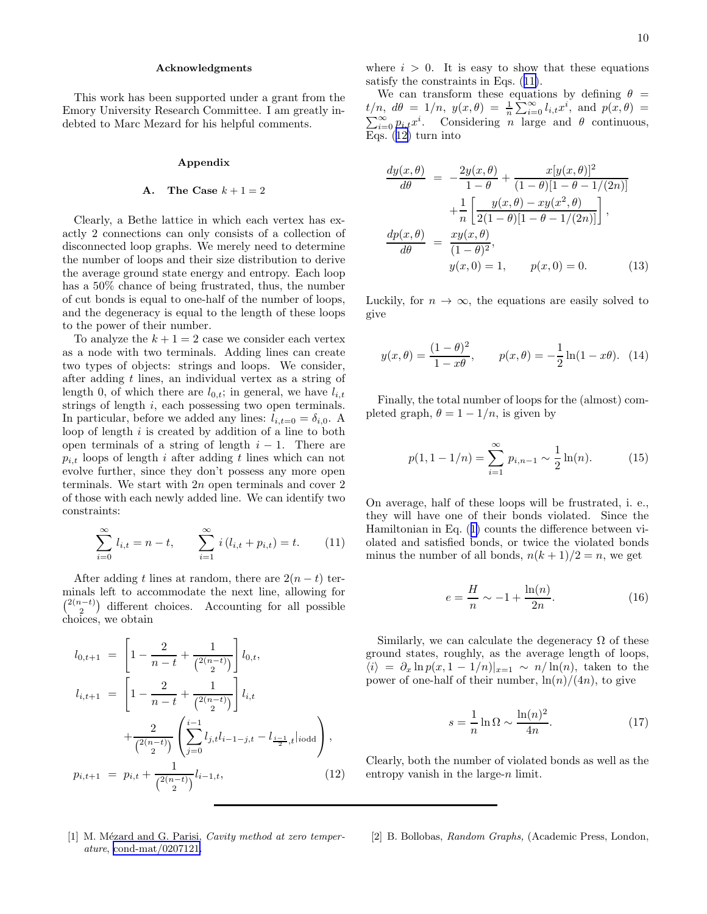#### Acknowledgments

<span id="page-9-0"></span>This work has been supported under a grant from the Emory University Research Committee. I am greatly indebted to Marc Mezard for his helpful comments.

#### Appendix

## A. The Case  $k + 1 = 2$

Clearly, a Bethe lattice in which each vertex has exactly 2 connections can only consists of a collection of disconnected loop graphs. We merely need to determine the number of loops and their size distribution to derive the average ground state energy and entropy. Each loop has a 50% chance of being frustrated, thus, the number of cut bonds is equal to one-half of the number of loops, and the degeneracy is equal to the length of these loops to the power of their number.

To analyze the  $k + 1 = 2$  case we consider each vertex as a node with two terminals. Adding lines can create two types of objects: strings and loops. We consider, after adding  $t$  lines, an individual vertex as a string of length 0, of which there are  $l_{0,t}$ ; in general, we have  $l_{i,t}$ strings of length  $i$ , each possessing two open terminals. In particular, before we added any lines:  $l_{i,t=0} = \delta_{i,0}$ . A loop of length  $i$  is created by addition of a line to both open terminals of a string of length  $i - 1$ . There are  $p_{i,t}$  loops of length i after adding t lines which can not evolve further, since they don't possess any more open terminals. We start with 2n open terminals and cover 2 of those with each newly added line. We can identify two constraints:

$$
\sum_{i=0}^{\infty} l_{i,t} = n - t, \qquad \sum_{i=1}^{\infty} i(l_{i,t} + p_{i,t}) = t. \tag{11}
$$

After adding t lines at random, there are  $2(n-t)$  terminals left to accommodate the next line, allowing for  $\binom{2(n-t)}{2}$  different choices. Accounting for all possible choices, we obtain

$$
l_{0,t+1} = \left[1 - \frac{2}{n-t} + \frac{1}{\binom{2(n-t)}{2}}\right] l_{0,t},
$$
  
\n
$$
l_{i,t+1} = \left[1 - \frac{2}{n-t} + \frac{1}{\binom{2(n-t)}{2}}\right] l_{i,t}
$$
  
\n
$$
+ \frac{2}{\binom{2(n-t)}{2}} \left(\sum_{j=0}^{i-1} l_{j,t} l_{i-1-j,t} - l_{\frac{i-1}{2},t} \middle| \mathrm{iodd}\right),
$$
  
\n
$$
p_{i,t+1} = p_{i,t} + \frac{1}{\binom{2(n-t)}{2}} l_{i-1,t},
$$
\n(12)

where  $i > 0$ . It is easy to show that these equations satisfy the constraints in Eqs. (11).

We can transform these equations by defining  $\theta =$  $t/n, d\theta = 1/n, y(x, \theta) = \frac{1}{n} \sum_{i=0}^{\infty} l_{i,t} x^{i}$ , and  $p(x, \theta) =$  $\sum_{i=0}^{\infty} p_{i,t} x^i$ . Considering *n* large and  $\theta$  continuous, Eqs. (12) turn into

$$
\frac{dy(x,\theta)}{d\theta} = -\frac{2y(x,\theta)}{1-\theta} + \frac{x[y(x,\theta)]^2}{(1-\theta)[1-\theta-1/(2n)]} \n+ \frac{1}{n} \left[ \frac{y(x,\theta) - xy(x^2,\theta)}{2(1-\theta)[1-\theta-1/(2n)]} \right], \n\frac{dp(x,\theta)}{d\theta} = \frac{xy(x,\theta)}{(1-\theta)^2}, \ny(x,0) = 1, \qquad p(x,0) = 0.
$$
\n(13)

Luckily, for  $n \to \infty$ , the equations are easily solved to give

$$
y(x,\theta) = \frac{(1-\theta)^2}{1-x\theta}, \qquad p(x,\theta) = -\frac{1}{2}\ln(1-x\theta). \tag{14}
$$

Finally, the total number of loops for the (almost) completed graph,  $\theta = 1 - 1/n$ , is given by

$$
p(1, 1 - 1/n) = \sum_{i=1}^{\infty} p_{i,n-1} \sim \frac{1}{2} \ln(n).
$$
 (15)

On average, half of these loops will be frustrated, i. e., they will have one of their bonds violated. Since the Hamiltonian in Eq.([1\)](#page-1-0) counts the difference between violated and satisfied bonds, or twice the violated bonds minus the number of all bonds,  $n(k+1)/2 = n$ , we get

$$
e = \frac{H}{n} \sim -1 + \frac{\ln(n)}{2n}.
$$
 (16)

Similarly, we can calculate the degeneracy  $\Omega$  of these ground states, roughly, as the average length of loops,  $\langle i \rangle = \partial_x \ln p(x, 1 - 1/n)|_{x=1} \sim n/\ln(n)$ , taken to the power of one-half of their number,  $\ln(n)/(4n)$ , to give

$$
s = \frac{1}{n} \ln \Omega \sim \frac{\ln(n)^2}{4n}.
$$
 (17)

Clearly, both the number of violated bonds as well as the entropy vanish in the large- $n$  limit.

- [1] M. Mézard and G. Parisi, Cavity method at zero temperature, [cond-mat/0207121.](http://arxiv.org/abs/cond-mat/0207121)
- [2] B. Bollobas, Random Graphs, (Academic Press, London,